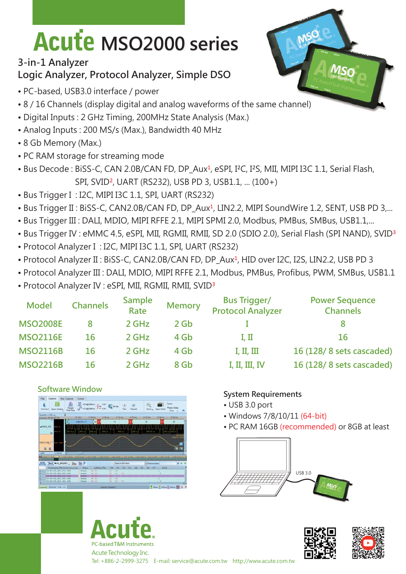# **Acute MSO2000 series**

## **3-in-1 Analyzer Logic Analyzer, Protocol Analyzer, Simple DSO**

- PC-based, USB3.0 interface / power
- 8 / 16 Channels (display digital and analog waveforms of the same channel)
- Digital Inputs : 2 GHz Timing, 200MHz State Analysis (Max.)
- Analog Inputs : 200 MS/s (Max.), Bandwidth 40 MHz
- 8 Gb Memory (Max.)
- PC RAM storage for streaming mode
- Bus Decode : BiSS-C, CAN 2.0B/CAN FD, DP\_Aux<sup>1</sup>, eSPI, I<sup>2</sup>C, I<sup>2</sup>S, MII, MIPI I3C 1.1, Serial Flash, SPI, SVID², UART (RS232), USB PD 3, USB1.1, ... (100+)
- Bus Trigger I : I2C, MIPI I3C 1.1, SPI, UART (RS232)
- Bus Trigger II: BiSS-C, CAN2.0B/CAN FD, DP\_Aux<sup>1</sup>, LIN2.2, MIPI SoundWire 1.2, SENT, USB PD 3,...
- Bus Trigger III : DALI, MDIO, MIPI RFFE 2.1, MIPI SPMI 2.0, Modbus, PMBus, SMBus, USB1.1,...
- Bus Trigger IV : eMMC 4.5, eSPI, MII, RGMII, RMII, SD 2.0 (SDIO 2.0), Serial Flash (SPI NAND), SVID<sup>3</sup>
- Protocol Analyzer I : I2C, MIPI I3C 1.1, SPI, UART (RS232)
- Protocol Analyzer II : BiSS-C, CAN2.0B/CAN FD, DP Aux<sup>1</sup>, HID over I2C, I2S, LIN2.2, USB PD 3
- Protocol Analyzer III : DALI, MDIO, MIPI RFFE 2.1, Modbus, PMBus, Profibus, PWM, SMBus, USB1.1
- Protocol Analyzer IV : eSPI, MII, RGMII, RMII, SVID³

| <b>Model</b>    | <b>Channels</b> | <b>Sample</b><br>Rate | <b>Memory</b> | <b>Bus Trigger/</b><br><b>Protocol Analyzer</b> | <b>Power Sequence</b><br><b>Channels</b> |
|-----------------|-----------------|-----------------------|---------------|-------------------------------------------------|------------------------------------------|
| <b>MSO2008E</b> | 8               | 2 GHz                 | $2$ Gb        |                                                 |                                          |
| <b>MSO2116E</b> | 16              | 2 GHz                 | 4 Gb          | I, II                                           | 16                                       |
| <b>MSO2116B</b> | 16              | 2 GHz                 | 4 Gb          | I, II, III                                      | 16 (128/8 sets cascaded)                 |
| <b>MSO2216B</b> | 16              | 2 GHz                 | 8 Gb          | I, II, III, IV                                  | 16 (128/8 sets cascaded)                 |

#### **Software Window**



### **System Requirements**

- USB 3.0 port
- Windows 7/8/10/11 (64-bit)
- PC RAM 16GB (recommended) or 8GB at least





PC-based T&M Instrument Acute Technology Inc.

Tel: +886-2-2999-3275 E-mail: service@acute.com.tw http://www.acute.com.tw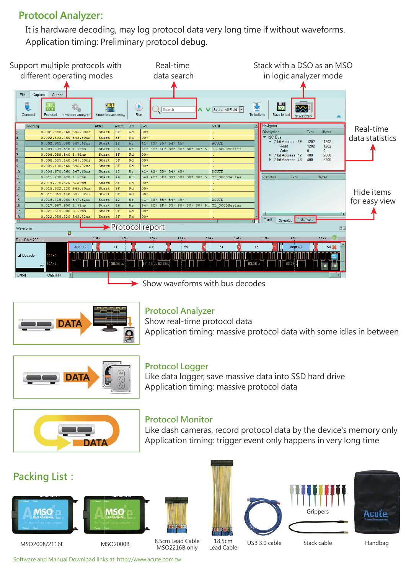# **Protocol Analyzer:**

It is hardware decoding, may log protocol data very long time if without waveforms. Application timing: Preliminary protocol debug.



Show waveforms with bus decodes



#### **Protocol Analyzer**

Show real-time protocol data Application timing: massive protocol data with some idles in between



#### **Protocol Logger**

Like data logger, save massive data into SSD hard drive Application timing: massive protocol data



#### **Protocol Monitor**

Like dash cameras, record protocol data by the device's memory only Application timing: trigger event only happens in very long time

## **Packing List:**











MSO2008/2116E MSO2000B

8.5cm Lead Cable MSO2216B only

18.5cm<br>Lead Cable

USB 3.0 cable Stack cable Handbag

Grinners

Software and Manual Download links at: http://www.acute.com.tw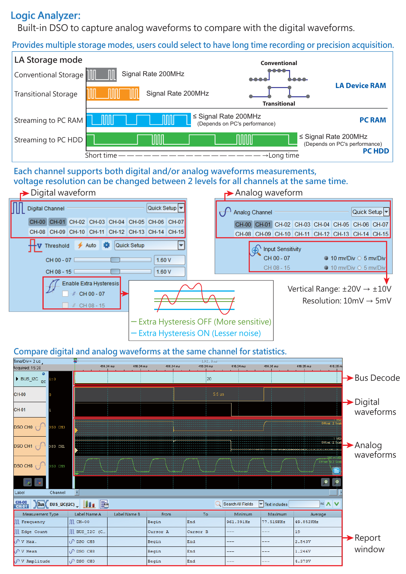## **Logic Analyzer:**

Built-in DSO to capture analog waveforms to compare with the digital waveforms.

**Provides multiple storage modes, users could select to have long time recording or precision acquisition.**



#### **Each channel supports both digital and/or analog waveforms measurements, voltage resolution can be changed between 2 levels for all channels at the same time.**



─ Extra Hysteresis ON (Lesser noise)

#### **Compare digital and analog waveforms at the same channel for statistics.**